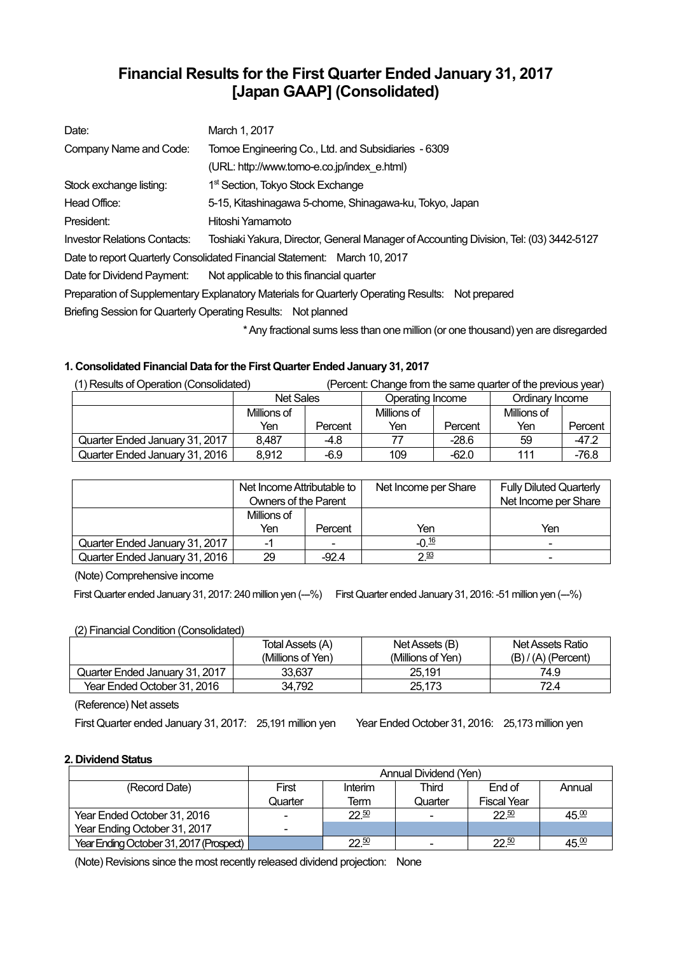# **Financial Results for the First Quarter Ended January 31, 2017 [Japan GAAP] (Consolidated)**

| Date:                        | March 1, 2017                                                                                    |
|------------------------------|--------------------------------------------------------------------------------------------------|
| Company Name and Code:       | Tomoe Engineering Co., Ltd. and Subsidiaries - 6309                                              |
|                              | (URL: http://www.tomo-e.co.jp/index e.html)                                                      |
| Stock exchange listing:      | 1 <sup>st</sup> Section, Tokyo Stock Exchange                                                    |
| Head Office:                 | 5-15, Kitashinagawa 5-chome, Shinagawa-ku, Tokyo, Japan                                          |
| President:                   | Hitoshi Yamamoto                                                                                 |
| Investor Relations Contacts: | Toshiaki Yakura, Director, General Manager of Accounting Division, Tel: (03) 3442-5127           |
|                              | Date to report Quarterly Consolidated Financial Statement: March 10, 2017                        |
|                              | Date for Dividend Payment: Not applicable to this financial quarter                              |
|                              | Preparation of Supplementary Explanatory Materials for Quarterly Operating Results: Not prepared |
|                              | Briefing Session for Quarterly Operating Results: Not planned                                    |
|                              | * Ami fractional oi inoo loog than ana millian (anana thai ionad) i ion ana dionographi          |

\* Any fractional sums less than one million (or one thousand) yen are disregarded

## **1. Consolidated Financial Data for the First Quarter Ended January 31, 2017**

| (1) Results of Operation (Consolidated) |                  | (Percent: Change from the same quarter of the previous year) |                  |         |                 |         |
|-----------------------------------------|------------------|--------------------------------------------------------------|------------------|---------|-----------------|---------|
|                                         | <b>Net Sales</b> |                                                              | Operating Income |         | Ordinary Income |         |
|                                         | Millions of      |                                                              | Millions of      |         | Millions of     |         |
|                                         | Yen              | Percent                                                      | Yen              | Percent | Yen             | Percent |
| Quarter Ended January 31, 2017          | 8,487            | $-4.8$                                                       |                  | $-28.6$ | 59              | $-47.2$ |
| Quarter Ended January 31, 2016          | 8,912            | $-6.9$                                                       | 109              | $-62.0$ | 111             | $-76.8$ |

|                                | Net Income Attributable to<br>Owners of the Parent |                          | Net Income per Share | <b>Fully Diluted Quarterly</b><br>Net Income per Share |
|--------------------------------|----------------------------------------------------|--------------------------|----------------------|--------------------------------------------------------|
|                                | Millions of                                        |                          |                      |                                                        |
|                                | Yen                                                | Percent                  | Yen                  | Yen                                                    |
| Quarter Ended January 31, 2017 |                                                    | $\overline{\phantom{0}}$ | $-0 \frac{16}{2}$    | $\blacksquare$                                         |
| Quarter Ended January 31, 2016 | 29                                                 | $-92.4$                  | $2^{93}$             | -                                                      |

(Note) Comprehensive income

First Quarter ended January 31, 2017: 240 million yen (--%) First Quarter ended January 31, 2016: -51 million yen (--%)

## (2) Financial Condition (Consolidated)

|                                | Total Assets (A)  | Net Assets (B)    | Net Assets Ratio      |
|--------------------------------|-------------------|-------------------|-----------------------|
|                                | (Millions of Yen) | (Millions of Yen) | $(B) / (A)$ (Percent) |
| Quarter Ended January 31, 2017 | 33.637            | 25.191            | 74.9                  |
| Year Ended October 31, 2016    | 34.792            | 25.173            | 72.4                  |

(Reference) Net assets

First Quarter ended January 31, 2017: 25,191 million yen Year Ended October 31, 2016: 25,173 million yen

## **2. Dividend Status**

|                                         | Annual Dividend (Yen) |           |         |                    |                   |
|-----------------------------------------|-----------------------|-----------|---------|--------------------|-------------------|
| (Record Date)                           | First                 | Interim   | Third   | End of             | Annual            |
|                                         | Quarter               | Term      | Quarter | <b>Fiscal Year</b> |                   |
| Year Ended October 31, 2016             | -                     | 22.50     |         | 22.50              | 45.00             |
| Year Ending October 31, 2017            | -                     |           |         |                    |                   |
| Year Ending October 31, 2017 (Prospect) |                       | $22^{50}$ |         | 22.50              | 45. <sup>00</sup> |

(Note) Revisions since the most recently released dividend projection: None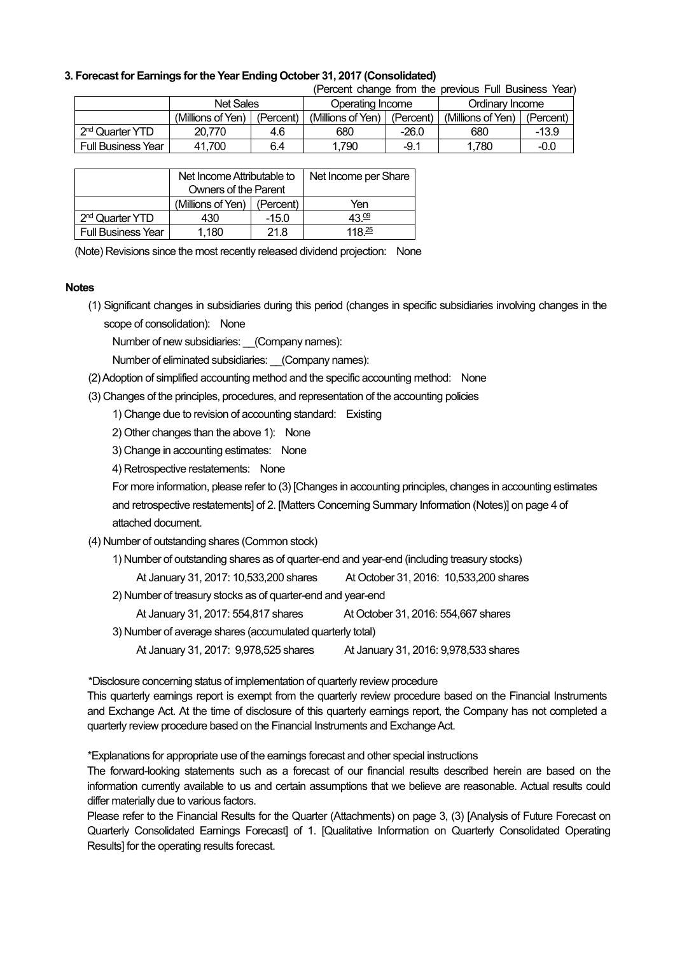### **3. Forecast for Earnings for the Year Ending October 31, 2017 (Consolidated)**

|                             |                   |           |                   |           | (Percent change from the previous Full Business Year) |           |
|-----------------------------|-------------------|-----------|-------------------|-----------|-------------------------------------------------------|-----------|
|                             | <b>Net Sales</b>  |           | Operating Income  |           | Ordinary Income                                       |           |
|                             | (Millions of Yen) | (Percent) | (Millions of Yen) | (Percent) | (Millions of Yen)                                     | (Percent) |
| 2 <sup>nd</sup> Quarter YTD | 20.770            | 4.6       | 680               | $-26.0$   | 680                                                   | $-13.9$   |
| <b>Full Business Year</b>   | 41.700            | 6.4       | .790              | $-9.1$    | 1,780                                                 | $-0.0$    |

|                             | Net Income Attributable to    |         | Net Income per Share |
|-----------------------------|-------------------------------|---------|----------------------|
|                             | <b>Owners of the Parent</b>   |         |                      |
|                             | (Millions of Yen)   (Percent) |         | Yen                  |
| 2 <sup>nd</sup> Quarter YTD | 430                           | $-15.0$ | $4.3 \, 0.9$         |
| <b>Full Business Year</b>   | 1.180                         | 21.8    | 118 $\frac{25}{3}$   |

(Note) Revisions since the most recently released dividend projection: None

#### **Notes**

(1) Significant changes in subsidiaries during this period (changes in specific subsidiaries involving changes in the scope of consolidation): None

Number of new subsidiaries: (Company names):

Number of eliminated subsidiaries: (Company names):

(2) Adoption of simplified accounting method and the specific accounting method: None

(3) Changes of the principles, procedures, and representation of the accounting policies

1) Change due to revision of accounting standard: Existing

- 2) Other changes than the above 1): None
- 3) Change in accounting estimates: None
- 4) Retrospective restatements: None

For more information, please refer to (3) [Changes in accounting principles, changes in accounting estimates and retrospective restatements] of 2. [Matters Concerning Summary Information (Notes)] on page 4 of attached document.

- (4) Number of outstanding shares (Common stock)
	- 1) Number of outstanding shares as of quarter-end and year-end (including treasury stocks)

At January 31, 2017: 10,533,200 shares At October 31, 2016: 10,533,200 shares

2) Number of treasury stocks as of quarter-end and year-end

At January 31, 2017: 554,817 shares At October 31, 2016: 554,667 shares

- 3) Number of average shares (accumulated quarterly total)
	- At January 31, 2017: 9,978,525 shares At January 31, 2016: 9,978,533 shares

\*Disclosure concerning status of implementation of quarterly review procedure

This quarterly earnings report is exempt from the quarterly review procedure based on the Financial Instruments and Exchange Act. At the time of disclosure of this quarterly earnings report, the Company has not completed a quarterly review procedure based on the Financial Instruments and Exchange Act.

\*Explanations for appropriate use of the earnings forecast and other special instructions

The forward-looking statements such as a forecast of our financial results described herein are based on the information currently available to us and certain assumptions that we believe are reasonable. Actual results could differ materially due to various factors.

Please refer to the Financial Results for the Quarter (Attachments) on page 3, (3) [Analysis of Future Forecast on Quarterly Consolidated Earnings Forecast] of 1. [Qualitative Information on Quarterly Consolidated Operating Results] for the operating results forecast.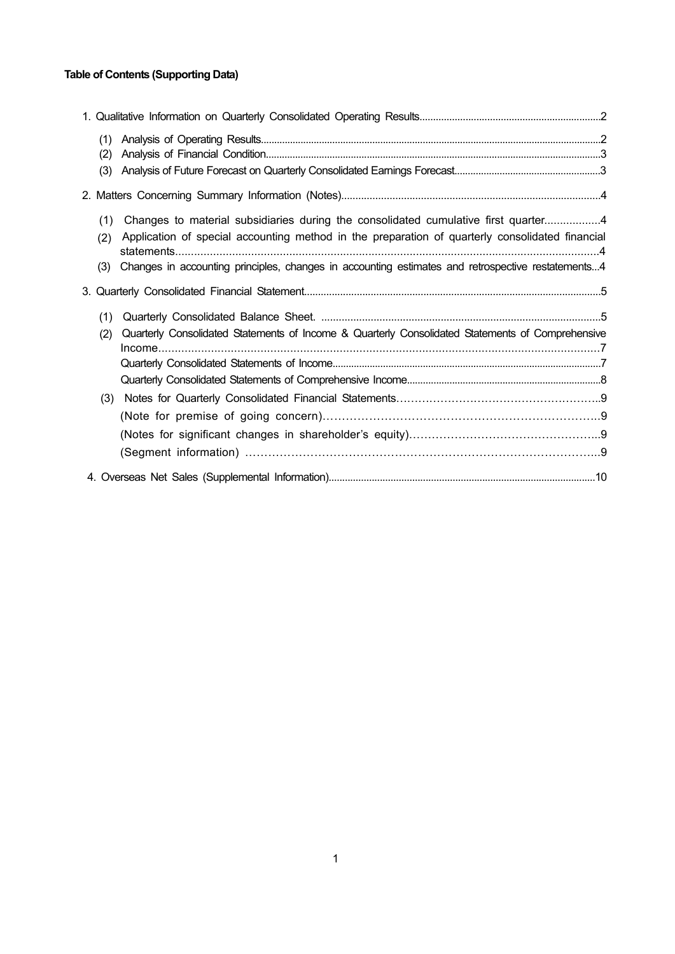## **Table of Contents (Supporting Data)**

| (1) |                                                                                                   |  |
|-----|---------------------------------------------------------------------------------------------------|--|
| (2) |                                                                                                   |  |
| (3) |                                                                                                   |  |
|     |                                                                                                   |  |
| (1) | Changes to material subsidiaries during the consolidated cumulative first quarter4                |  |
| (2) | Application of special accounting method in the preparation of quarterly consolidated financial   |  |
| (3) | Changes in accounting principles, changes in accounting estimates and retrospective restatements4 |  |
|     |                                                                                                   |  |
| (1) |                                                                                                   |  |
| (2) | Quarterly Consolidated Statements of Income & Quarterly Consolidated Statements of Comprehensive  |  |
|     |                                                                                                   |  |
|     |                                                                                                   |  |
|     |                                                                                                   |  |
| (3) |                                                                                                   |  |
|     |                                                                                                   |  |
|     |                                                                                                   |  |
|     |                                                                                                   |  |
|     |                                                                                                   |  |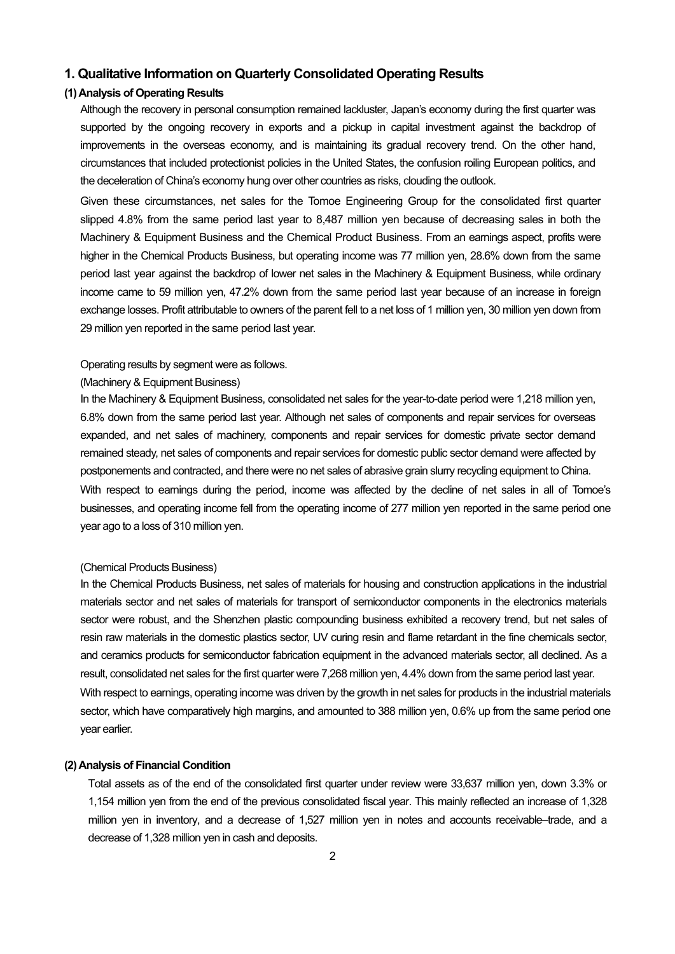## **1. Qualitative Information on Quarterly Consolidated Operating Results**

## **(1) Analysis of Operating Results**

Although the recovery in personal consumption remained lackluster, Japan's economy during the first quarter was supported by the ongoing recovery in exports and a pickup in capital investment against the backdrop of improvements in the overseas economy, and is maintaining its gradual recovery trend. On the other hand, circumstances that included protectionist policies in the United States, the confusion roiling European politics, and the deceleration of China's economy hung over other countries as risks, clouding the outlook.

Given these circumstances, net sales for the Tomoe Engineering Group for the consolidated first quarter slipped 4.8% from the same period last year to 8,487 million yen because of decreasing sales in both the Machinery & Equipment Business and the Chemical Product Business. From an earnings aspect, profits were higher in the Chemical Products Business, but operating income was 77 million yen, 28.6% down from the same period last year against the backdrop of lower net sales in the Machinery & Equipment Business, while ordinary income came to 59 million yen, 47.2% down from the same period last year because of an increase in foreign exchange losses. Profit attributable to owners of the parent fell to a net loss of 1 million yen, 30 million yen down from 29 million yen reported in the same period last year.

## Operating results by segment were as follows.

#### (Machinery & Equipment Business)

In the Machinery & Equipment Business, consolidated net sales for the year-to-date period were 1,218 million yen, 6.8% down from the same period last year. Although net sales of components and repair services for overseas expanded, and net sales of machinery, components and repair services for domestic private sector demand remained steady, net sales of components and repair services for domestic public sector demand were affected by postponements and contracted, and there were no net sales of abrasive grain slurry recycling equipment to China. With respect to earnings during the period, income was affected by the decline of net sales in all of Tomoe's businesses, and operating income fell from the operating income of 277 million yen reported in the same period one year ago to a loss of 310 million yen.

#### (Chemical Products Business)

In the Chemical Products Business, net sales of materials for housing and construction applications in the industrial materials sector and net sales of materials for transport of semiconductor components in the electronics materials sector were robust, and the Shenzhen plastic compounding business exhibited a recovery trend, but net sales of resin raw materials in the domestic plastics sector, UV curing resin and flame retardant in the fine chemicals sector, and ceramics products for semiconductor fabrication equipment in the advanced materials sector, all declined. As a result, consolidated net sales for the first quarter were 7,268 million yen, 4.4% down from the same period last year. With respect to earnings, operating income was driven by the growth in net sales for products in the industrial materials sector, which have comparatively high margins, and amounted to 388 million yen, 0.6% up from the same period one year earlier.

#### **(2) Analysis of Financial Condition**

Total assets as of the end of the consolidated first quarter under review were 33,637 million yen, down 3.3% or 1,154 million yen from the end of the previous consolidated fiscal year. This mainly reflected an increase of 1,328 million yen in inventory, and a decrease of 1,527 million yen in notes and accounts receivable–trade, and a decrease of 1,328 million yen in cash and deposits.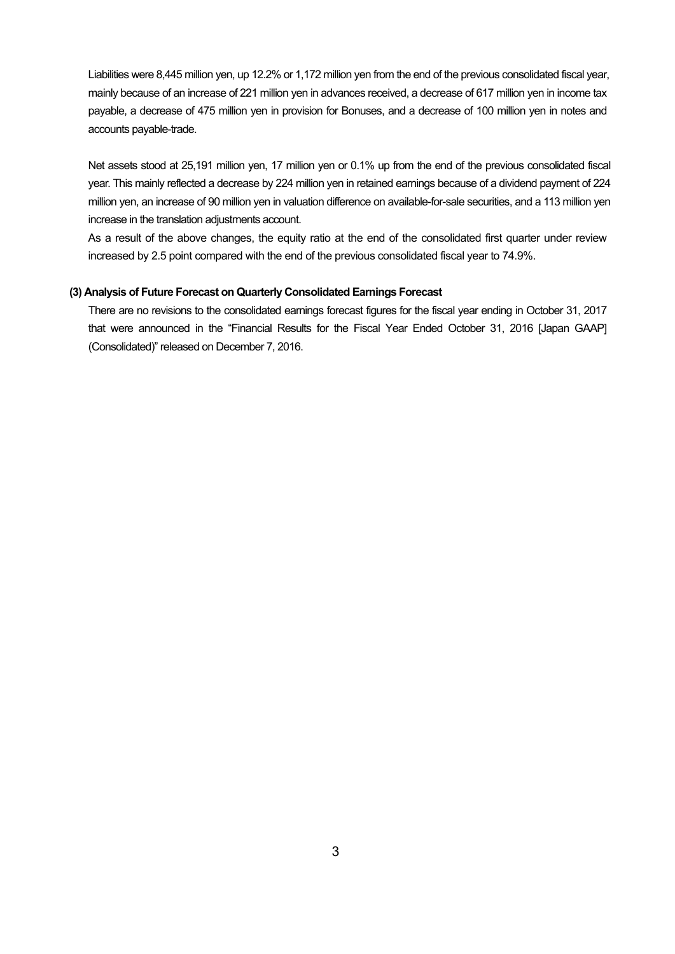Liabilities were 8,445 million yen, up 12.2% or 1,172 million yen from the end of the previous consolidated fiscal year, mainly because of an increase of 221 million yen in advances received, a decrease of 617 million yen in income tax payable, a decrease of 475 million yen in provision for Bonuses, and a decrease of 100 million yen in notes and accounts payable-trade.

Net assets stood at 25,191 million yen, 17 million yen or 0.1% up from the end of the previous consolidated fiscal year. This mainly reflected a decrease by 224 million yen in retained earnings because of a dividend payment of 224 million yen, an increase of 90 million yen in valuation difference on available-for-sale securities, and a 113 million yen increase in the translation adjustments account.

As a result of the above changes, the equity ratio at the end of the consolidated first quarter under review increased by 2.5 point compared with the end of the previous consolidated fiscal year to 74.9%.

### **(3) Analysis of Future Forecast on Quarterly Consolidated Earnings Forecast**

There are no revisions to the consolidated earnings forecast figures for the fiscal year ending in October 31, 2017 that were announced in the "Financial Results for the Fiscal Year Ended October 31, 2016 [Japan GAAP] (Consolidated)" released on December 7, 2016.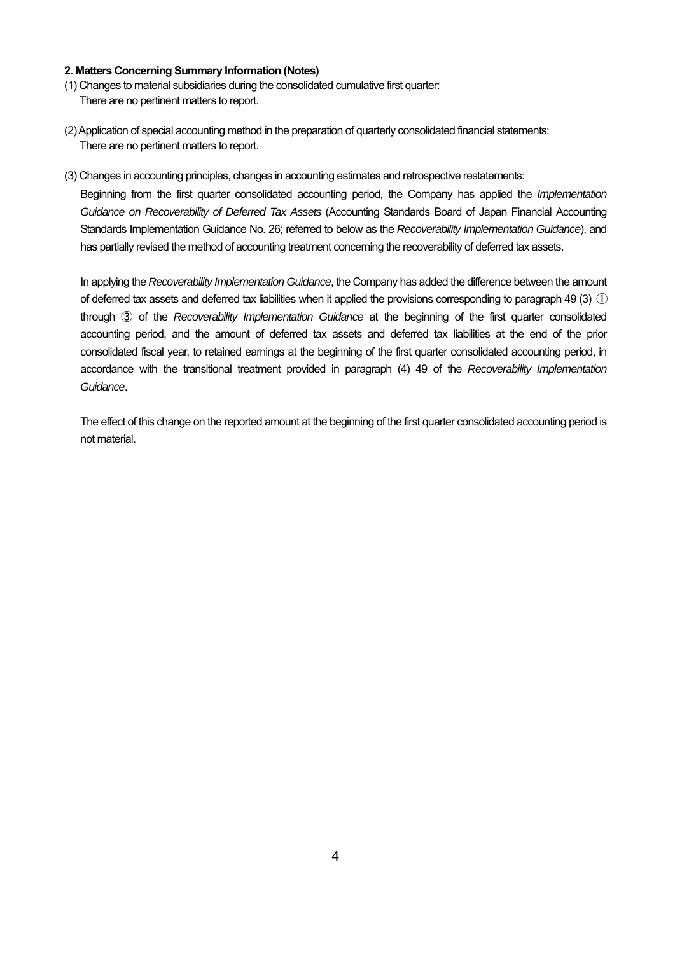#### **2. Matters Concerning Summary Information (Notes)**

- (1) Changes to material subsidiaries during the consolidated cumulative first quarter: There are no pertinent matters to report.
- (2) Application of special accounting method in the preparation of quarterly consolidated financial statements: There are no pertinent matters to report.
- (3) Changes in accounting principles, changes in accounting estimates and retrospective restatements:

Beginning from the first quarter consolidated accounting period, the Company has applied the *Implementation Guidance on Recoverability of Deferred Tax Assets* (Accounting Standards Board of Japan Financial Accounting Standards Implementation Guidance No. 26; referred to below as the *Recoverability Implementation Guidance*), and has partially revised the method of accounting treatment concerning the recoverability of deferred tax assets.

In applying the *Recoverability Implementation Guidance*, the Company has added the difference between the amount of deferred tax assets and deferred tax liabilities when it applied the provisions corresponding to paragraph 49 (3)  $(1)$ through ③ of the *Recoverability Implementation Guidance* at the beginning of the first quarter consolidated accounting period, and the amount of deferred tax assets and deferred tax liabilities at the end of the prior consolidated fiscal year, to retained earnings at the beginning of the first quarter consolidated accounting period, in accordance with the transitional treatment provided in paragraph (4) 49 of the *Recoverability Implementation Guidance*.

The effect of this change on the reported amount at the beginning of the first quarter consolidated accounting period is not material.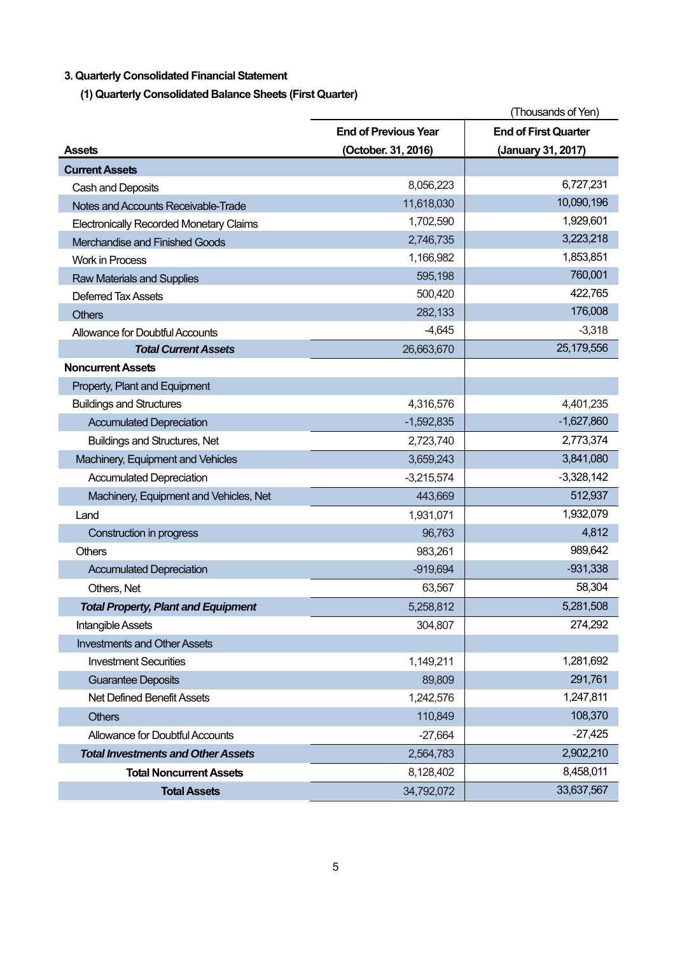## **3. Quarterly Consolidated Financial Statement**

**(1) Quarterly Consolidated Balance Sheets (First Quarter)** 

|                                                | (Thousands of Yen)          |                             |
|------------------------------------------------|-----------------------------|-----------------------------|
|                                                | <b>End of Previous Year</b> | <b>End of First Quarter</b> |
| <b>Assets</b>                                  | (October. 31, 2016)         | (January 31, 2017)          |
| <b>Current Assets</b>                          |                             |                             |
| Cash and Deposits                              | 8,056,223                   | 6,727,231                   |
| Notes and Accounts Receivable-Trade            | 11,618,030                  | 10,090,196                  |
| <b>Electronically Recorded Monetary Claims</b> | 1,702,590                   | 1,929,601                   |
| Merchandise and Finished Goods                 | 2,746,735                   | 3,223,218                   |
| <b>Work in Process</b>                         | 1,166,982                   | 1,853,851                   |
| <b>Raw Materials and Supplies</b>              | 595,198                     | 760,001                     |
| <b>Deferred Tax Assets</b>                     | 500,420                     | 422,765                     |
| <b>Others</b>                                  | 282,133                     | 176,008                     |
| Allowance for Doubtful Accounts                | $-4,645$                    | $-3,318$                    |
| <b>Total Current Assets</b>                    | 26,663,670                  | 25,179,556                  |
| <b>Noncurrent Assets</b>                       |                             |                             |
| Property, Plant and Equipment                  |                             |                             |
| <b>Buildings and Structures</b>                | 4,316,576                   | 4,401,235                   |
| <b>Accumulated Depreciation</b>                | $-1,592,835$                | $-1,627,860$                |
| <b>Buildings and Structures, Net</b>           | 2,723,740                   | 2,773,374                   |
| Machinery, Equipment and Vehicles              | 3,659,243                   | 3,841,080                   |
| <b>Accumulated Depreciation</b>                | $-3,215,574$                | $-3,328,142$                |
| Machinery, Equipment and Vehicles, Net         | 443,669                     | 512,937                     |
| Land                                           | 1,931,071                   | 1,932,079                   |
| Construction in progress                       | 96,763                      | 4,812                       |
| Others                                         | 983,261                     | 989,642                     |
| <b>Accumulated Depreciation</b>                | $-919,694$                  | $-931,338$                  |
| Others, Net                                    | 63,567                      | 58,304                      |
| <b>Total Property, Plant and Equipment</b>     | 5,258,812                   | 5,281,508                   |
| Intangible Assets                              | 304,807                     | 274,292                     |
| <b>Investments and Other Assets</b>            |                             |                             |
| <b>Investment Securities</b>                   | 1,149,211                   | 1,281,692                   |
| <b>Guarantee Deposits</b>                      | 89,809                      | 291,761                     |
| <b>Net Defined Benefit Assets</b>              | 1,242,576                   | 1,247,811                   |
| <b>Others</b>                                  | 110,849                     | 108,370                     |
| Allowance for Doubtful Accounts                | $-27,664$                   | $-27,425$                   |
| <b>Total Investments and Other Assets</b>      | 2,564,783                   | 2,902,210                   |
| <b>Total Noncurrent Assets</b>                 | 8,128,402                   | 8,458,011                   |
| <b>Total Assets</b>                            | 34,792,072                  | 33,637,567                  |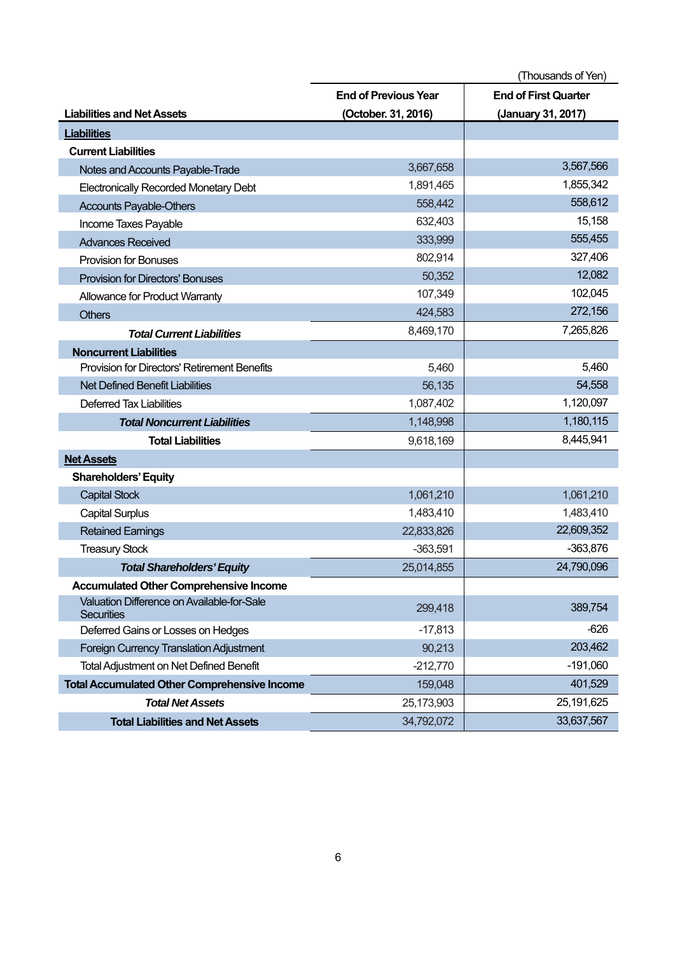|                                                                 | (Thousands of Yen)          |                             |  |
|-----------------------------------------------------------------|-----------------------------|-----------------------------|--|
|                                                                 | <b>End of Previous Year</b> | <b>End of First Quarter</b> |  |
| <b>Liabilities and Net Assets</b>                               | (October. 31, 2016)         | (January 31, 2017)          |  |
| <b>Liabilities</b>                                              |                             |                             |  |
| <b>Current Liabilities</b>                                      |                             |                             |  |
| Notes and Accounts Payable-Trade                                | 3,667,658                   | 3,567,566                   |  |
| <b>Electronically Recorded Monetary Debt</b>                    | 1,891,465                   | 1,855,342                   |  |
| <b>Accounts Payable-Others</b>                                  | 558,442                     | 558,612                     |  |
| Income Taxes Payable                                            | 632,403                     | 15,158                      |  |
| <b>Advances Received</b>                                        | 333,999                     | 555,455                     |  |
| <b>Provision for Bonuses</b>                                    | 802,914                     | 327,406                     |  |
| <b>Provision for Directors' Bonuses</b>                         | 50,352                      | 12,082                      |  |
| Allowance for Product Warranty                                  | 107,349                     | 102,045                     |  |
| <b>Others</b>                                                   | 424,583                     | 272,156                     |  |
| <b>Total Current Liabilities</b>                                | 8,469,170                   | 7,265,826                   |  |
| <b>Noncurrent Liabilities</b>                                   |                             |                             |  |
| <b>Provision for Directors' Retirement Benefits</b>             | 5,460                       | 5,460                       |  |
| <b>Net Defined Benefit Liabilities</b>                          | 56,135                      | 54,558                      |  |
| <b>Deferred Tax Liabilities</b>                                 | 1,087,402                   | 1,120,097                   |  |
| <b>Total Noncurrent Liabilities</b>                             | 1,148,998                   | 1,180,115                   |  |
| <b>Total Liabilities</b>                                        | 9,618,169                   | 8,445,941                   |  |
| <b>Net Assets</b>                                               |                             |                             |  |
| <b>Shareholders' Equity</b>                                     |                             |                             |  |
| <b>Capital Stock</b>                                            | 1,061,210                   | 1,061,210                   |  |
| <b>Capital Surplus</b>                                          | 1,483,410                   | 1,483,410                   |  |
| <b>Retained Earnings</b>                                        | 22,833,826                  | 22,609,352                  |  |
| <b>Treasury Stock</b>                                           | $-363,591$                  | $-363,876$                  |  |
| <b>Total Shareholders' Equity</b>                               | 25,014,855                  | 24,790,096                  |  |
| <b>Accumulated Other Comprehensive Income</b>                   |                             |                             |  |
| Valuation Difference on Available-for-Sale<br><b>Securities</b> | 299,418                     | 389,754                     |  |
| Deferred Gains or Losses on Hedges                              | $-17,813$                   | $-626$                      |  |
| Foreign Currency Translation Adjustment                         | 90,213                      | 203,462                     |  |
| <b>Total Adjustment on Net Defined Benefit</b>                  | $-212,770$                  | $-191,060$                  |  |
| <b>Total Accumulated Other Comprehensive Income</b>             | 159,048                     | 401,529                     |  |
| <b>Total Net Assets</b>                                         | 25,173,903                  | 25, 191, 625                |  |
| <b>Total Liabilities and Net Assets</b>                         | 34,792,072                  | 33,637,567                  |  |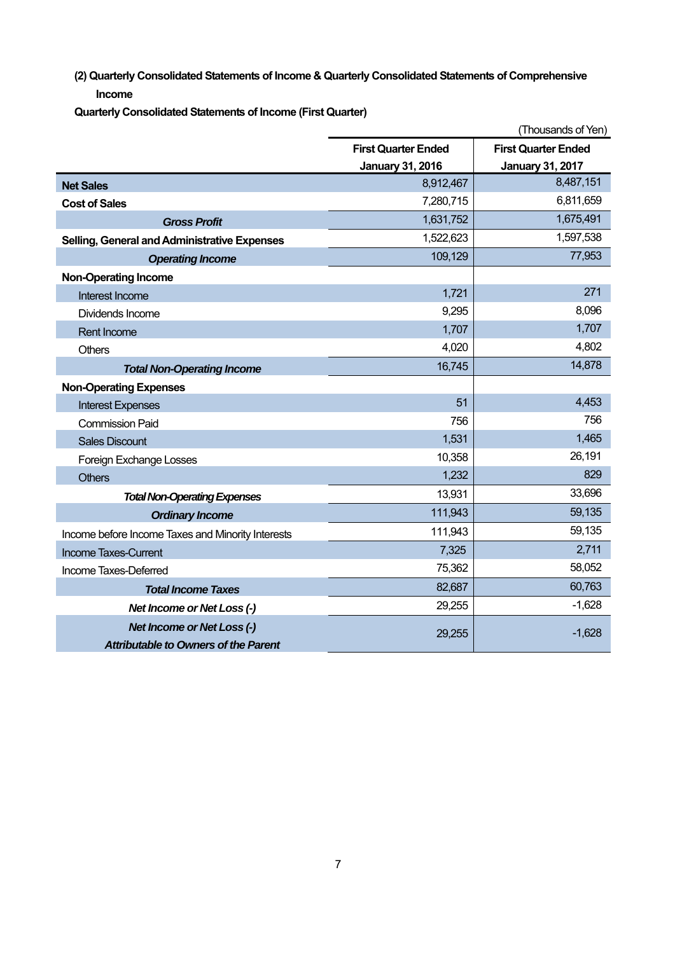**(2) Quarterly Consolidated Statements of Income & Quarterly Consolidated Statements of Comprehensive Income** 

**Quarterly Consolidated Statements of Income (First Quarter)** 

|                                                   | (Thousands of Yen)         |                            |  |
|---------------------------------------------------|----------------------------|----------------------------|--|
|                                                   | <b>First Quarter Ended</b> | <b>First Quarter Ended</b> |  |
|                                                   | <b>January 31, 2016</b>    | <b>January 31, 2017</b>    |  |
| <b>Net Sales</b>                                  | 8,912,467                  | 8,487,151                  |  |
| <b>Cost of Sales</b>                              | 7,280,715                  | 6,811,659                  |  |
| <b>Gross Profit</b>                               | 1,631,752                  | 1,675,491                  |  |
| Selling, General and Administrative Expenses      | 1,522,623                  | 1,597,538                  |  |
| <b>Operating Income</b>                           | 109,129                    | 77,953                     |  |
| <b>Non-Operating Income</b>                       |                            |                            |  |
| Interest Income                                   | 1,721                      | 271                        |  |
| Dividends Income                                  | 9,295                      | 8,096                      |  |
| <b>Rent Income</b>                                | 1,707                      | 1,707                      |  |
| <b>Others</b>                                     | 4,020                      | 4,802                      |  |
| <b>Total Non-Operating Income</b>                 | 16,745                     | 14,878                     |  |
| <b>Non-Operating Expenses</b>                     |                            |                            |  |
| <b>Interest Expenses</b>                          | 51                         | 4,453                      |  |
| <b>Commission Paid</b>                            | 756                        | 756                        |  |
| <b>Sales Discount</b>                             | 1,531                      | 1,465                      |  |
| Foreign Exchange Losses                           | 10,358                     | 26,191                     |  |
| <b>Others</b>                                     | 1,232                      | 829                        |  |
| <b>Total Non-Operating Expenses</b>               | 13,931                     | 33,696                     |  |
| <b>Ordinary Income</b>                            | 111,943                    | 59,135                     |  |
| Income before Income Taxes and Minority Interests | 111,943                    | 59,135                     |  |
| <b>Income Taxes-Current</b>                       | 7,325                      | 2,711                      |  |
| Income Taxes-Deferred                             | 75,362                     | 58,052                     |  |
| <b>Total Income Taxes</b>                         | 82,687                     | 60,763                     |  |
| Net Income or Net Loss (-)                        | 29,255                     | $-1,628$                   |  |
| <b>Net Income or Net Loss (-)</b>                 | 29,255                     | $-1,628$                   |  |
| <b>Attributable to Owners of the Parent</b>       |                            |                            |  |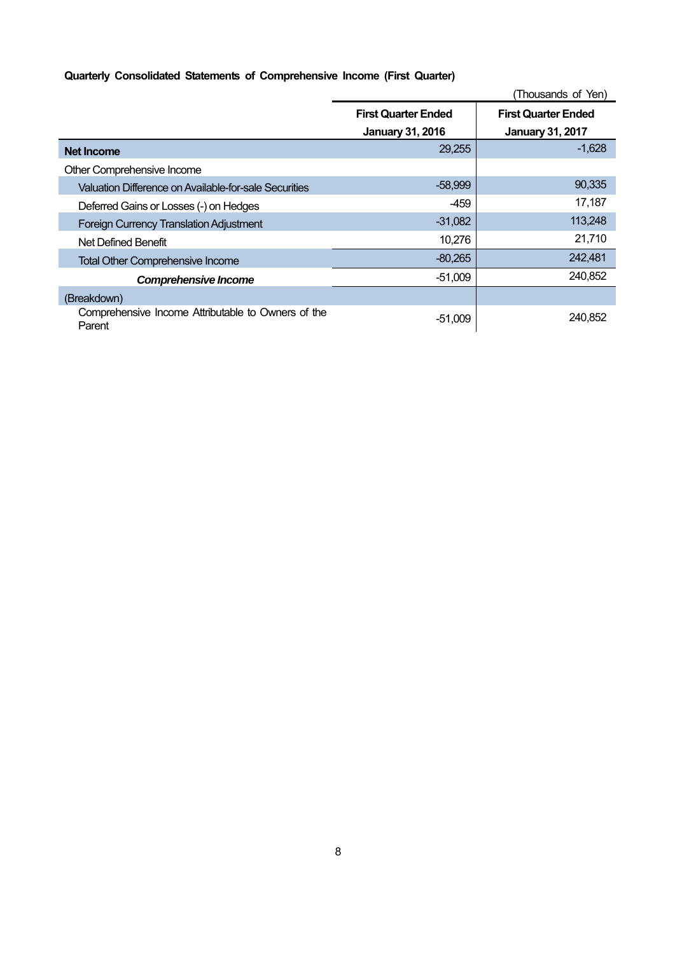## **Quarterly Consolidated Statements of Comprehensive Income (First Quarter)**

|                                                              |                            | (Thousands of Yen)         |
|--------------------------------------------------------------|----------------------------|----------------------------|
|                                                              | <b>First Quarter Ended</b> | <b>First Quarter Ended</b> |
|                                                              | <b>January 31, 2016</b>    | <b>January 31, 2017</b>    |
| <b>Net Income</b>                                            | 29,255                     | $-1,628$                   |
| Other Comprehensive Income                                   |                            |                            |
| Valuation Difference on Available-for-sale Securities        | $-58,999$                  | 90,335                     |
| Deferred Gains or Losses (-) on Hedges                       | -459                       | 17,187                     |
| <b>Foreign Currency Translation Adjustment</b>               | $-31,082$                  | 113,248                    |
| Net Defined Benefit                                          | 10,276                     | 21,710                     |
| <b>Total Other Comprehensive Income</b>                      | $-80,265$                  | 242,481                    |
| <b>Comprehensive Income</b>                                  | $-51,009$                  | 240,852                    |
| (Breakdown)                                                  |                            |                            |
| Comprehensive Income Attributable to Owners of the<br>Parent | $-51,009$                  | 240,852                    |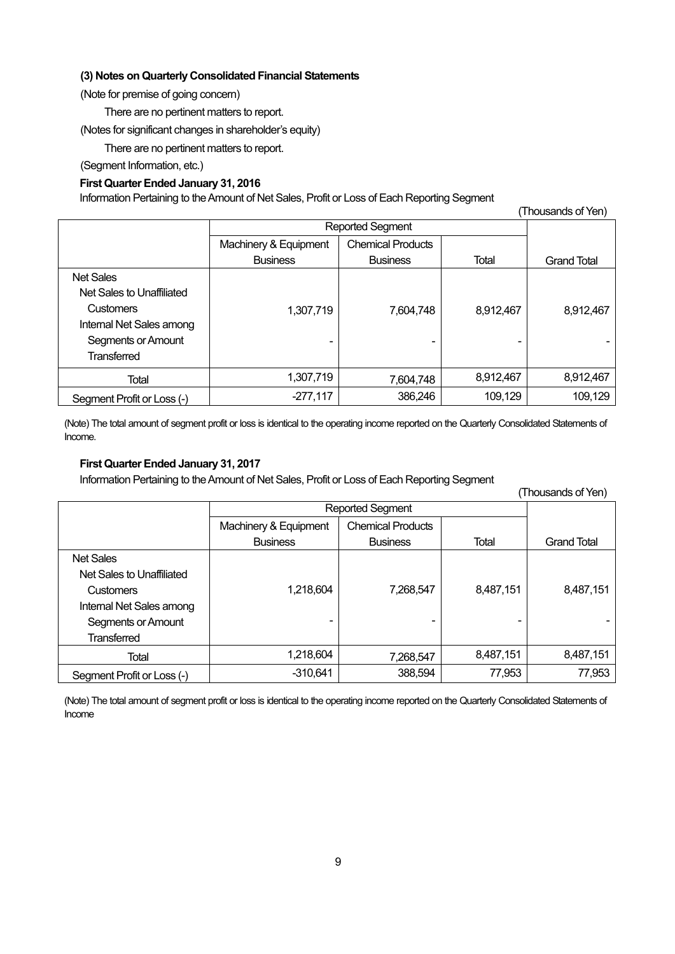## **(3) Notes on Quarterly Consolidated Financial Statements**

(Note for premise of going concern)

There are no pertinent matters to report.

(Notes for significant changes in shareholder's equity)

There are no pertinent matters to report.

(Segment Information, etc.)

## **First Quarter Ended January 31, 2016**

Information Pertaining to the Amount of Net Sales, Profit or Loss of Each Reporting Segment

| (Thousands of Yen)         |                       |                          |           |                    |  |
|----------------------------|-----------------------|--------------------------|-----------|--------------------|--|
|                            | Reported Segment      |                          |           |                    |  |
|                            | Machinery & Equipment | <b>Chemical Products</b> |           |                    |  |
|                            | <b>Business</b>       | <b>Business</b>          | Total     | <b>Grand Total</b> |  |
| <b>Net Sales</b>           |                       |                          |           |                    |  |
| Net Sales to Unaffiliated  |                       |                          |           |                    |  |
| <b>Customers</b>           | 1,307,719             | 7,604,748                | 8,912,467 | 8,912,467          |  |
| Internal Net Sales among   |                       |                          |           |                    |  |
| Segments or Amount         | ٠                     | -                        | -         |                    |  |
| <b>Transferred</b>         |                       |                          |           |                    |  |
| Total                      | 1,307,719             | 7,604,748                | 8,912,467 | 8,912,467          |  |
| Segment Profit or Loss (-) | $-277,117$            | 386,246                  | 109,129   | 109,129            |  |

(Note) The total amount of segment profit or loss is identical to the operating income reported on the Quarterly Consolidated Statements of Income.

## **First Quarter Ended January 31, 2017**

Information Pertaining to the Amount of Net Sales, Profit or Loss of Each Reporting Segment

|                            |                       |                          |           | (Thousands of Yen) |
|----------------------------|-----------------------|--------------------------|-----------|--------------------|
|                            | Reported Segment      |                          |           |                    |
|                            | Machinery & Equipment | <b>Chemical Products</b> |           |                    |
|                            | <b>Business</b>       | <b>Business</b>          | Total     | <b>Grand Total</b> |
| <b>Net Sales</b>           |                       |                          |           |                    |
| Net Sales to Unaffiliated  |                       |                          |           |                    |
| <b>Customers</b>           | 1,218,604             | 7,268,547                | 8,487,151 | 8,487,151          |
| Internal Net Sales among   |                       |                          |           |                    |
| Segments or Amount         | ۰                     | ۰                        |           |                    |
| <b>Transferred</b>         |                       |                          |           |                    |
| Total                      | 1,218,604             | 7,268,547                | 8,487,151 | 8,487,151          |
| Segment Profit or Loss (-) | $-310,641$            | 388,594                  | 77,953    | 77,953             |

(Note) The total amount of segment profit or loss is identical to the operating income reported on the Quarterly Consolidated Statements of Income